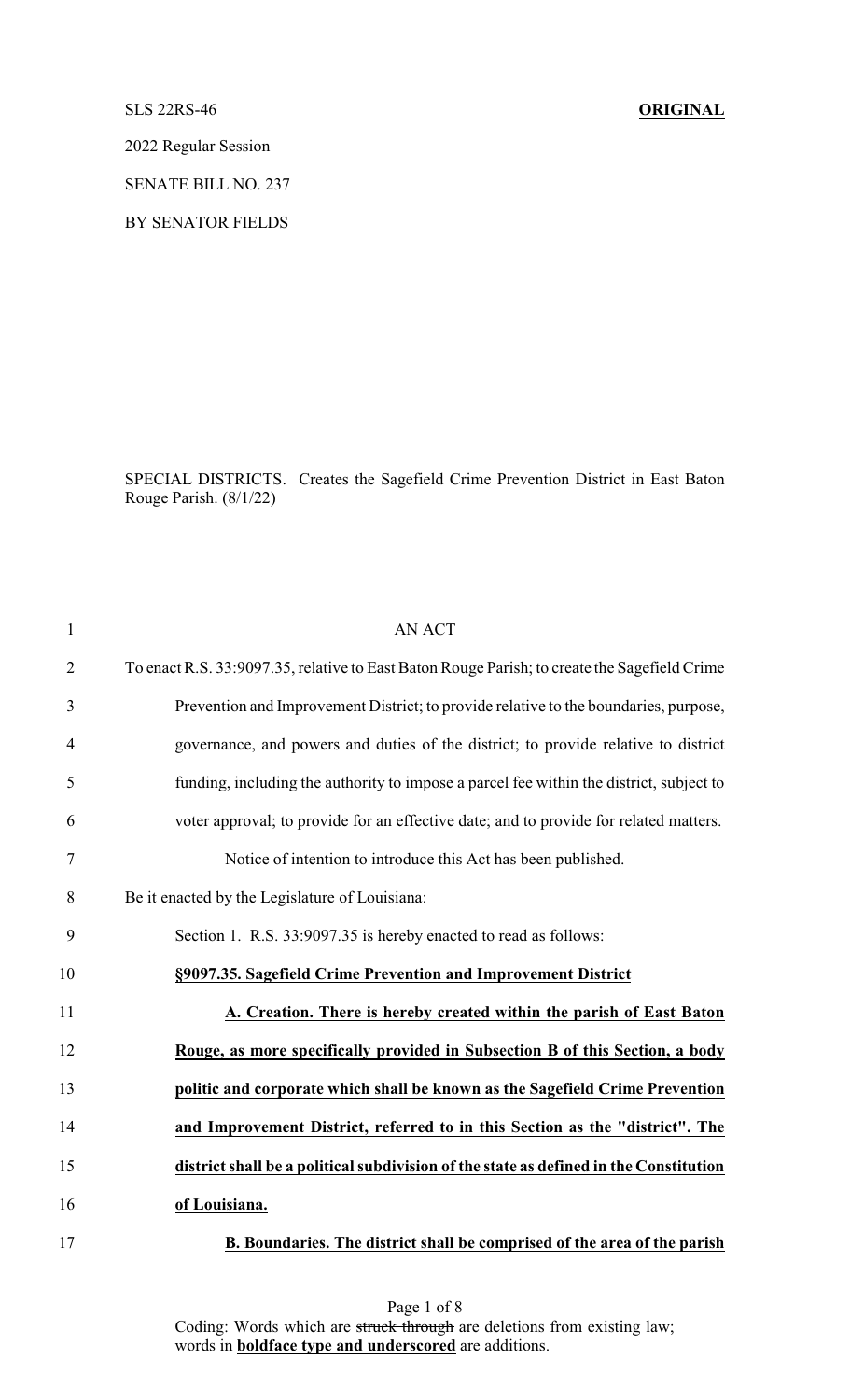# SLS 22RS-46 **ORIGINAL**

2022 Regular Session

SENATE BILL NO. 237

BY SENATOR FIELDS

SPECIAL DISTRICTS. Creates the Sagefield Crime Prevention District in East Baton Rouge Parish. (8/1/22)

| $\mathbf{1}$   | AN ACT                                                                                       |
|----------------|----------------------------------------------------------------------------------------------|
| $\overline{2}$ | To enact R.S. 33:9097.35, relative to East Baton Rouge Parish; to create the Sagefield Crime |
| 3              | Prevention and Improvement District; to provide relative to the boundaries, purpose,         |
| $\overline{4}$ | governance, and powers and duties of the district; to provide relative to district           |
| 5              | funding, including the authority to impose a parcel fee within the district, subject to      |
| 6              | voter approval; to provide for an effective date; and to provide for related matters.        |
| $\tau$         | Notice of intention to introduce this Act has been published.                                |
| 8              | Be it enacted by the Legislature of Louisiana:                                               |
| 9              | Section 1. R.S. 33:9097.35 is hereby enacted to read as follows:                             |
| 10             | §9097.35. Sagefield Crime Prevention and Improvement District                                |
| 11             | A. Creation. There is hereby created within the parish of East Baton                         |
| 12             | Rouge, as more specifically provided in Subsection B of this Section, a body                 |
| 13             | politic and corporate which shall be known as the Sagefield Crime Prevention                 |
| 14             | and Improvement District, referred to in this Section as the "district". The                 |
| 15             | district shall be a political subdivision of the state as defined in the Constitution        |
| 16             | of Louisiana.                                                                                |
| 17             | B. Boundaries. The district shall be comprised of the area of the parish                     |

Page 1 of 8 Coding: Words which are struck through are deletions from existing law; words in **boldface type and underscored** are additions.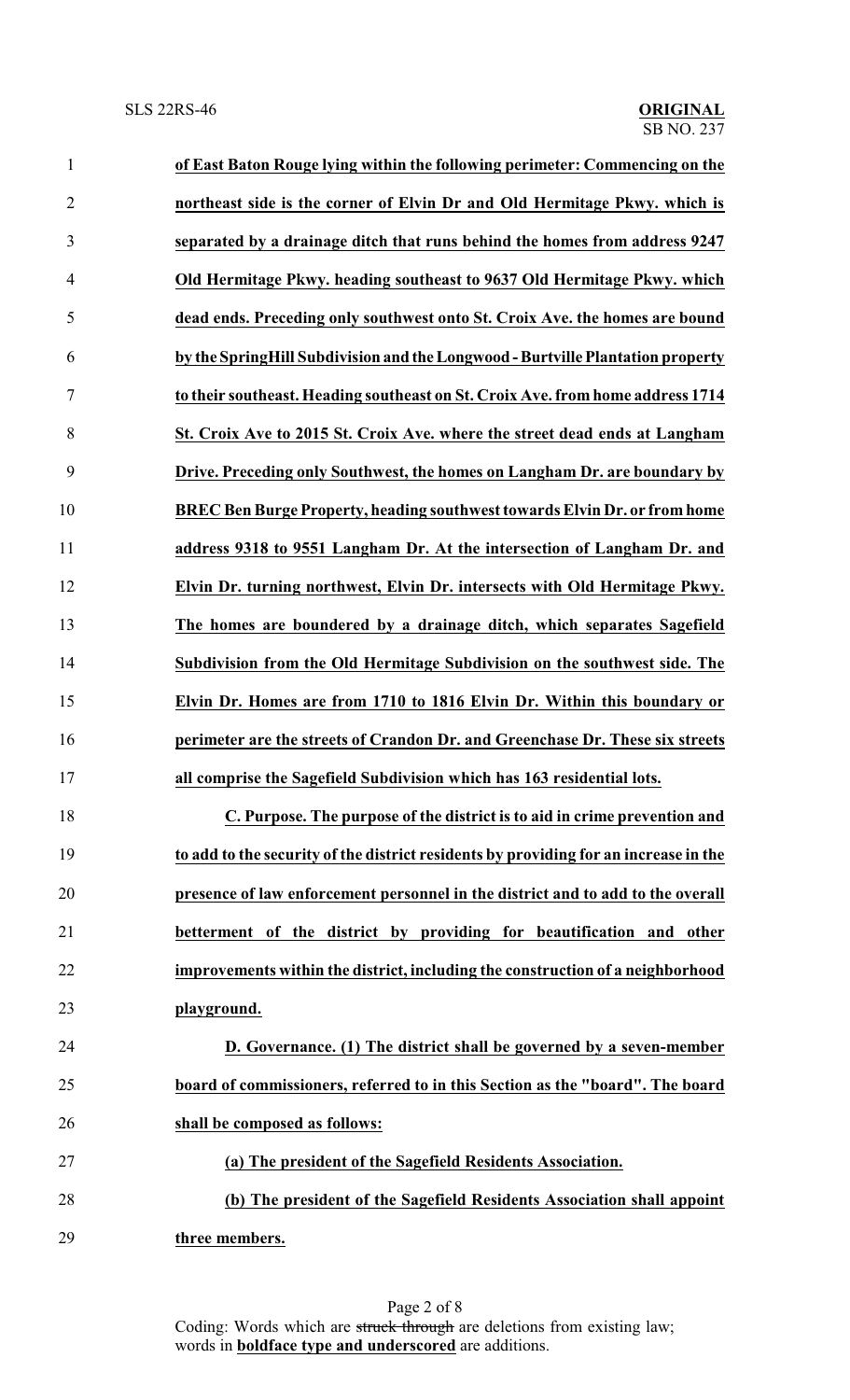| $\mathbf{1}$   | of East Baton Rouge lying within the following perimeter: Commencing on the          |
|----------------|--------------------------------------------------------------------------------------|
| $\overline{2}$ | northeast side is the corner of Elvin Dr and Old Hermitage Pkwy. which is            |
| $\mathfrak{Z}$ | separated by a drainage ditch that runs behind the homes from address 9247           |
| 4              | Old Hermitage Pkwy. heading southeast to 9637 Old Hermitage Pkwy. which              |
| 5              | dead ends. Preceding only southwest onto St. Croix Ave. the homes are bound          |
| 6              | by the SpringHill Subdivision and the Longwood - Burtville Plantation property       |
| 7              | to their southeast. Heading southeast on St. Croix Ave. from home address 1714       |
| 8              | St. Croix Ave to 2015 St. Croix Ave. where the street dead ends at Langham           |
| 9              | Drive. Preceding only Southwest, the homes on Langham Dr. are boundary by            |
| 10             | <b>BREC Ben Burge Property, heading southwest towards Elvin Dr. or from home</b>     |
| 11             | address 9318 to 9551 Langham Dr. At the intersection of Langham Dr. and              |
| 12             | Elvin Dr. turning northwest, Elvin Dr. intersects with Old Hermitage Pkwy.           |
| 13             | The homes are boundered by a drainage ditch, which separates Sagefield               |
| 14             | Subdivision from the Old Hermitage Subdivision on the southwest side. The            |
| 15             | Elvin Dr. Homes are from 1710 to 1816 Elvin Dr. Within this boundary or              |
| 16             | perimeter are the streets of Crandon Dr. and Greenchase Dr. These six streets        |
| 17             | all comprise the Sagefield Subdivision which has 163 residential lots.               |
| 18             | C. Purpose. The purpose of the district is to aid in crime prevention and            |
| 19             | to add to the security of the district residents by providing for an increase in the |
| 20             | presence of law enforcement personnel in the district and to add to the overall      |
| 21             | betterment of the district by providing for beautification and other                 |
| 22             | improvements within the district, including the construction of a neighborhood       |
| 23             | playground.                                                                          |
| 24             | D. Governance. (1) The district shall be governed by a seven-member                  |
| 25             | board of commissioners, referred to in this Section as the "board". The board        |
| 26             | shall be composed as follows:                                                        |
| 27             | (a) The president of the Sagefield Residents Association.                            |
| 28             | (b) The president of the Sagefield Residents Association shall appoint               |
| 29             | three members.                                                                       |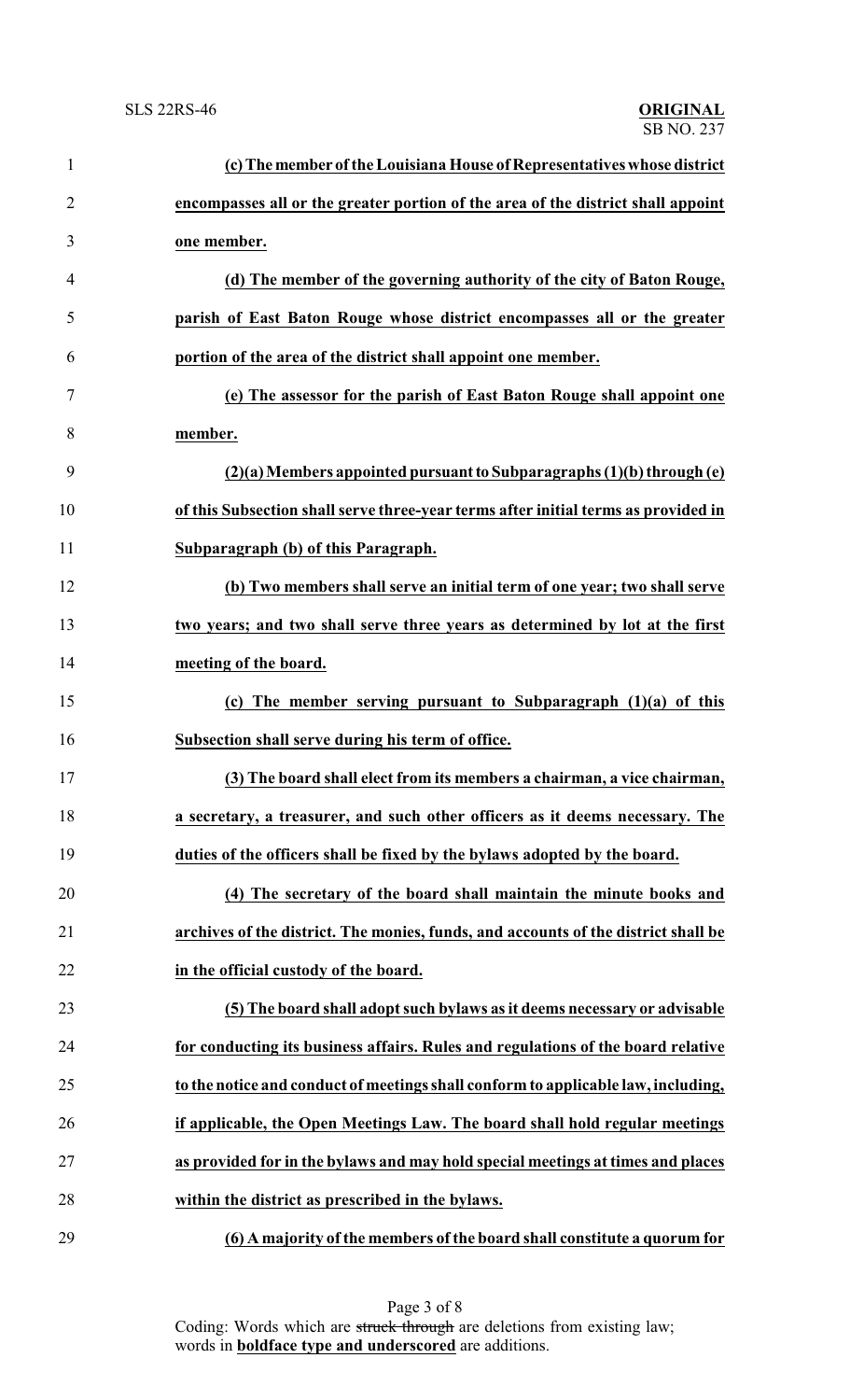| $\mathbf{1}$   | (c) The member of the Louisiana House of Representatives whose district            |
|----------------|------------------------------------------------------------------------------------|
| $\overline{2}$ | encompasses all or the greater portion of the area of the district shall appoint   |
| 3              | one member.                                                                        |
| 4              | (d) The member of the governing authority of the city of Baton Rouge,              |
| 5              | parish of East Baton Rouge whose district encompasses all or the greater           |
| 6              | portion of the area of the district shall appoint one member.                      |
| 7              | (e) The assessor for the parish of East Baton Rouge shall appoint one              |
| 8              | member.                                                                            |
| 9              | $(2)(a)$ Members appointed pursuant to Subparagraphs $(1)(b)$ through $(e)$        |
| 10             | of this Subsection shall serve three-year terms after initial terms as provided in |
| 11             | Subparagraph (b) of this Paragraph.                                                |
| 12             | (b) Two members shall serve an initial term of one year; two shall serve           |
| 13             | two years; and two shall serve three years as determined by lot at the first       |
| 14             | meeting of the board.                                                              |
| 15             | (c) The member serving pursuant to Subparagraph $(1)(a)$ of this                   |
| 16             | Subsection shall serve during his term of office.                                  |
| 17             | (3) The board shall elect from its members a chairman, a vice chairman,            |
| 18             | a secretary, a treasurer, and such other officers as it deems necessary. The       |
| 19             | duties of the officers shall be fixed by the bylaws adopted by the board.          |
| 20             | (4) The secretary of the board shall maintain the minute books and                 |
| 21             | archives of the district. The monies, funds, and accounts of the district shall be |
| 22             | in the official custody of the board.                                              |
| 23             | (5) The board shall adopt such bylaws as it deems necessary or advisable           |
| 24             | for conducting its business affairs. Rules and regulations of the board relative   |
| 25             | to the notice and conduct of meetings shall conform to applicable law, including,  |
| 26             | if applicable, the Open Meetings Law. The board shall hold regular meetings        |
| 27             | as provided for in the bylaws and may hold special meetings at times and places    |
| 28             | within the district as prescribed in the bylaws.                                   |
| 29             | (6) A majority of the members of the board shall constitute a quorum for           |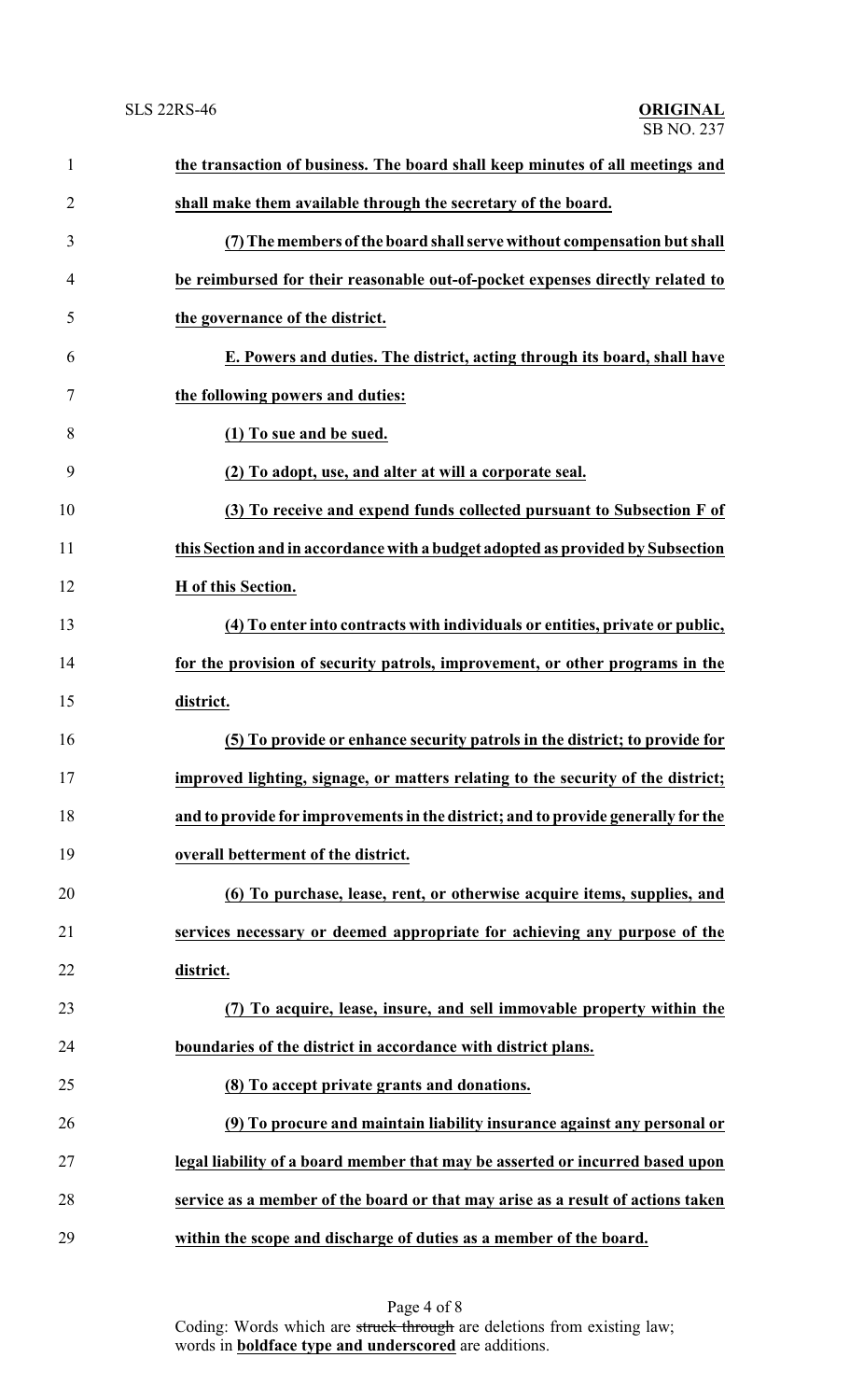| $\mathbf{1}$   | the transaction of business. The board shall keep minutes of all meetings and     |
|----------------|-----------------------------------------------------------------------------------|
| $\overline{2}$ | shall make them available through the secretary of the board.                     |
| 3              | (7) The members of the board shall serve without compensation but shall           |
| $\overline{4}$ | be reimbursed for their reasonable out-of-pocket expenses directly related to     |
| 5              | the governance of the district.                                                   |
| 6              | E. Powers and duties. The district, acting through its board, shall have          |
| 7              | the following powers and duties:                                                  |
| 8              | (1) To sue and be sued.                                                           |
| 9              | (2) To adopt, use, and alter at will a corporate seal.                            |
| 10             | (3) To receive and expend funds collected pursuant to Subsection F of             |
| 11             | this Section and in accordance with a budget adopted as provided by Subsection    |
| 12             | H of this Section.                                                                |
| 13             | (4) To enter into contracts with individuals or entities, private or public,      |
| 14             | for the provision of security patrols, improvement, or other programs in the      |
| 15             | district.                                                                         |
| 16             | (5) To provide or enhance security patrols in the district; to provide for        |
| 17             | improved lighting, signage, or matters relating to the security of the district;  |
| 18             | and to provide for improvements in the district; and to provide generally for the |
| 19             | overall betterment of the district.                                               |
| 20             | (6) To purchase, lease, rent, or otherwise acquire items, supplies, and           |
| 21             | services necessary or deemed appropriate for achieving any purpose of the         |
| 22             | district.                                                                         |
| 23             | (7) To acquire, lease, insure, and sell immovable property within the             |
| 24             | boundaries of the district in accordance with district plans.                     |
| 25             | (8) To accept private grants and donations.                                       |
| 26             | (9) To procure and maintain liability insurance against any personal or           |
| 27             | legal liability of a board member that may be asserted or incurred based upon     |
| 28             | service as a member of the board or that may arise as a result of actions taken   |
| 29             | within the scope and discharge of duties as a member of the board.                |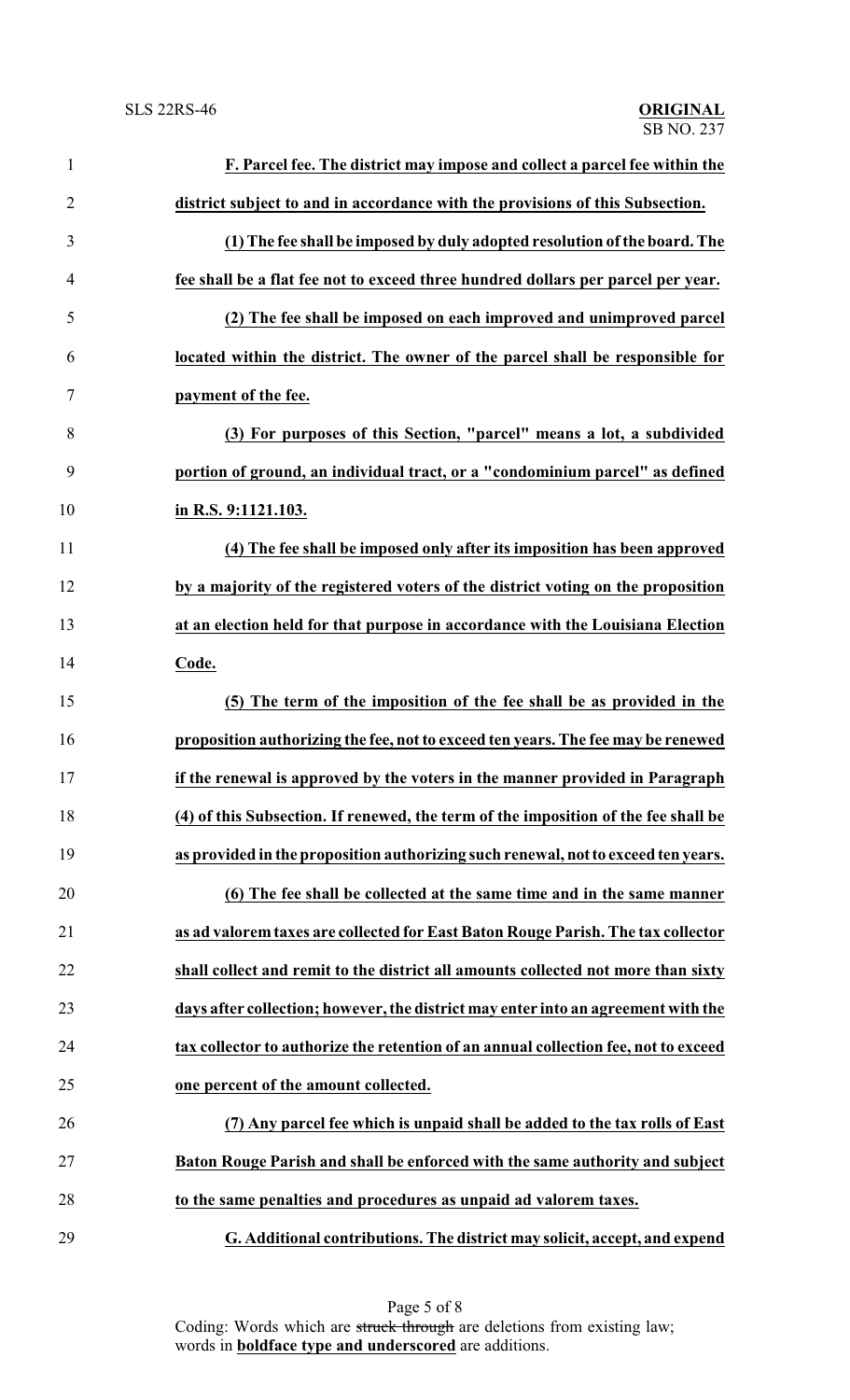| $\mathbf{1}$   | F. Parcel fee. The district may impose and collect a parcel fee within the          |
|----------------|-------------------------------------------------------------------------------------|
| $\overline{2}$ | district subject to and in accordance with the provisions of this Subsection.       |
| 3              | (1) The fee shall be imposed by duly adopted resolution of the board. The           |
| 4              | fee shall be a flat fee not to exceed three hundred dollars per parcel per year.    |
| 5              | (2) The fee shall be imposed on each improved and unimproved parcel                 |
| 6              | located within the district. The owner of the parcel shall be responsible for       |
| 7              | payment of the fee.                                                                 |
| 8              | (3) For purposes of this Section, "parcel" means a lot, a subdivided                |
| 9              | portion of ground, an individual tract, or a "condominium parcel" as defined        |
| 10             | in R.S. 9:1121.103.                                                                 |
| 11             | (4) The fee shall be imposed only after its imposition has been approved            |
| 12             | by a majority of the registered voters of the district voting on the proposition    |
| 13             | at an election held for that purpose in accordance with the Louisiana Election      |
| 14             | Code.                                                                               |
| 15             | (5) The term of the imposition of the fee shall be as provided in the               |
| 16             | proposition authorizing the fee, not to exceed ten years. The fee may be renewed    |
| 17             | if the renewal is approved by the voters in the manner provided in Paragraph        |
| 18             | (4) of this Subsection. If renewed, the term of the imposition of the fee shall be  |
| 19             | as provided in the proposition authorizing such renewal, not to exceed ten years.   |
| 20             | (6) The fee shall be collected at the same time and in the same manner              |
| 21             | as ad valorem taxes are collected for East Baton Rouge Parish. The tax collector    |
| 22             | shall collect and remit to the district all amounts collected not more than sixty   |
| 23             | days after collection; however, the district may enter into an agreement with the   |
| 24             | tax collector to authorize the retention of an annual collection fee, not to exceed |
| 25             | one percent of the amount collected.                                                |
| 26             | (7) Any parcel fee which is unpaid shall be added to the tax rolls of East          |
| 27             | Baton Rouge Parish and shall be enforced with the same authority and subject        |
| 28             | to the same penalties and procedures as unpaid ad valorem taxes.                    |
| 29             | G. Additional contributions. The district may solicit, accept, and expend           |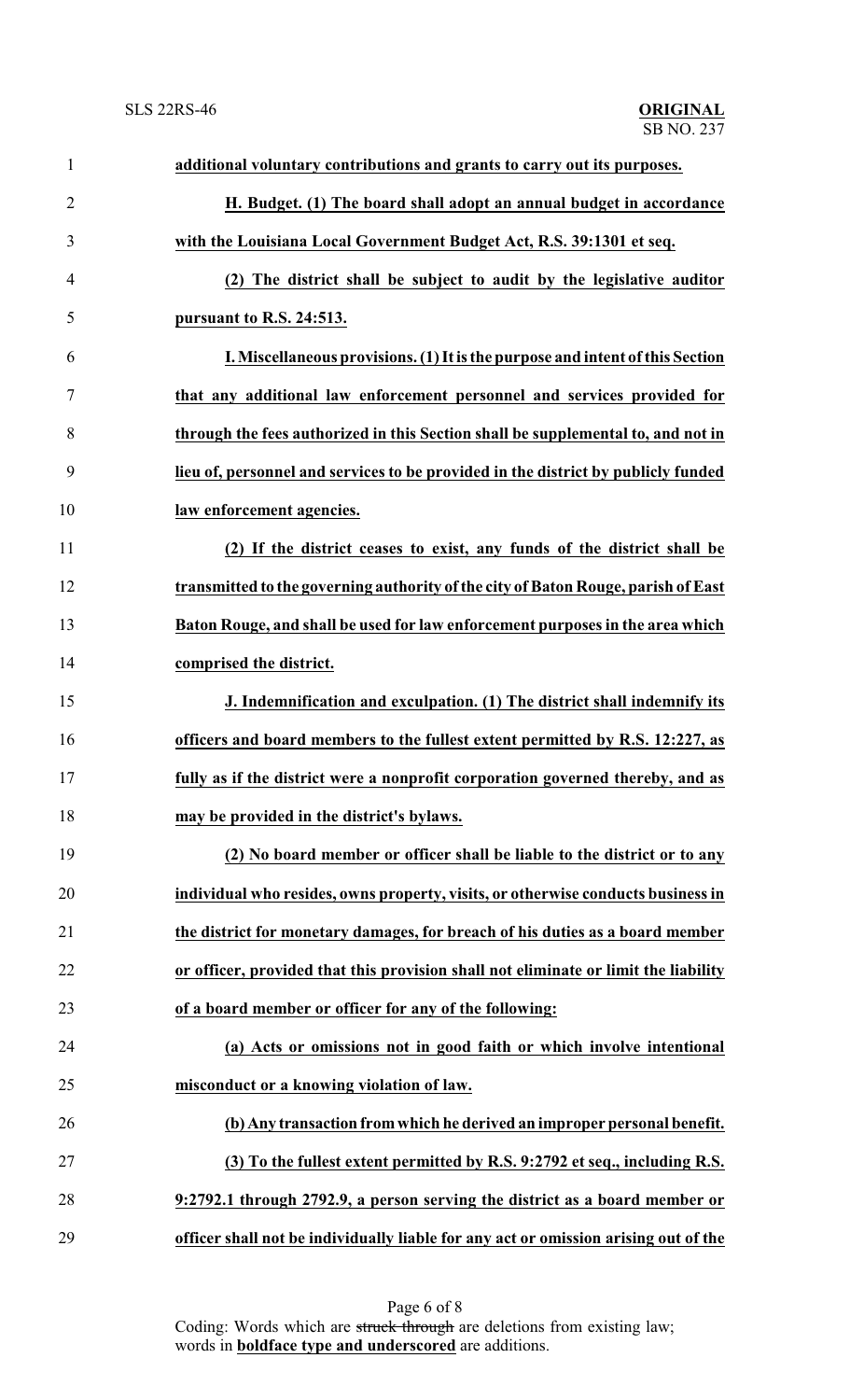| $\mathbf{1}$   | additional voluntary contributions and grants to carry out its purposes.            |
|----------------|-------------------------------------------------------------------------------------|
| $\overline{2}$ | H. Budget. (1) The board shall adopt an annual budget in accordance                 |
| 3              | with the Louisiana Local Government Budget Act, R.S. 39:1301 et seq.                |
| $\overline{4}$ | (2) The district shall be subject to audit by the legislative auditor               |
| 5              | pursuant to R.S. 24:513.                                                            |
| 6              | I. Miscellaneous provisions. (1) It is the purpose and intent of this Section       |
| 7              | that any additional law enforcement personnel and services provided for             |
| 8              | through the fees authorized in this Section shall be supplemental to, and not in    |
| 9              | lieu of, personnel and services to be provided in the district by publicly funded   |
| 10             | law enforcement agencies.                                                           |
| 11             | (2) If the district ceases to exist, any funds of the district shall be             |
| 12             | transmitted to the governing authority of the city of Baton Rouge, parish of East   |
| 13             | Baton Rouge, and shall be used for law enforcement purposes in the area which       |
| 14             | comprised the district.                                                             |
| 15             | J. Indemnification and exculpation. (1) The district shall indemnify its            |
| 16             | officers and board members to the fullest extent permitted by R.S. 12:227, as       |
| 17             | fully as if the district were a nonprofit corporation governed thereby, and as      |
| 18             | may be provided in the district's bylaws.                                           |
| 19             | (2) No board member or officer shall be liable to the district or to any            |
| 20             | individual who resides, owns property, visits, or otherwise conducts business in    |
| 21             | the district for monetary damages, for breach of his duties as a board member       |
| 22             | or officer, provided that this provision shall not eliminate or limit the liability |
| 23             | of a board member or officer for any of the following:                              |
| 24             | (a) Acts or omissions not in good faith or which involve intentional                |
| 25             | misconduct or a knowing violation of law.                                           |
| 26             | (b) Any transaction from which he derived an improper personal benefit.             |
| 27             | (3) To the fullest extent permitted by R.S. 9:2792 et seq., including R.S.          |
| 28             | 9:2792.1 through 2792.9, a person serving the district as a board member or         |
| 29             | officer shall not be individually liable for any act or omission arising out of the |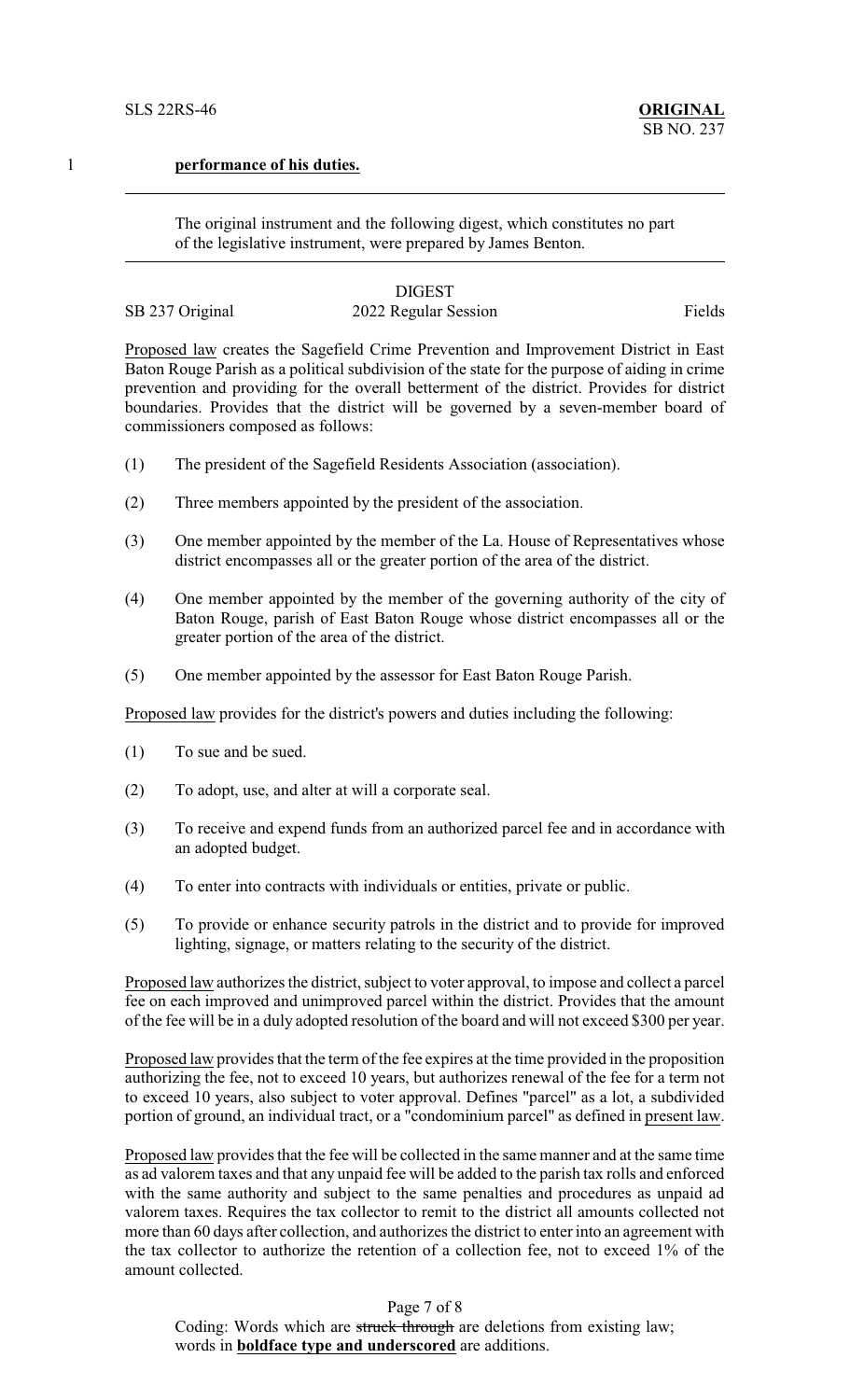## 1 **performance of his duties.**

The original instrument and the following digest, which constitutes no part of the legislative instrument, were prepared by James Benton.

### DIGEST SB 237 Original 2022 Regular Session Fields

Proposed law creates the Sagefield Crime Prevention and Improvement District in East Baton Rouge Parish as a political subdivision of the state for the purpose of aiding in crime prevention and providing for the overall betterment of the district. Provides for district boundaries. Provides that the district will be governed by a seven-member board of commissioners composed as follows:

- (1) The president of the Sagefield Residents Association (association).
- (2) Three members appointed by the president of the association.
- (3) One member appointed by the member of the La. House of Representatives whose district encompasses all or the greater portion of the area of the district.
- (4) One member appointed by the member of the governing authority of the city of Baton Rouge, parish of East Baton Rouge whose district encompasses all or the greater portion of the area of the district.
- (5) One member appointed by the assessor for East Baton Rouge Parish.

Proposed law provides for the district's powers and duties including the following:

- (1) To sue and be sued.
- (2) To adopt, use, and alter at will a corporate seal.
- (3) To receive and expend funds from an authorized parcel fee and in accordance with an adopted budget.
- (4) To enter into contracts with individuals or entities, private or public.
- (5) To provide or enhance security patrols in the district and to provide for improved lighting, signage, or matters relating to the security of the district.

Proposed law authorizes the district, subject to voter approval, to impose and collect a parcel fee on each improved and unimproved parcel within the district. Provides that the amount of the fee will be in a duly adopted resolution of the board and will not exceed \$300 per year.

Proposed law provides that the term of the fee expires at the time provided in the proposition authorizing the fee, not to exceed 10 years, but authorizes renewal of the fee for a term not to exceed 10 years, also subject to voter approval. Defines "parcel" as a lot, a subdivided portion of ground, an individual tract, or a "condominium parcel" as defined in present law.

Proposed law provides that the fee will be collected in the same manner and at the same time as ad valorem taxes and that any unpaid fee will be added to the parish tax rolls and enforced with the same authority and subject to the same penalties and procedures as unpaid ad valorem taxes. Requires the tax collector to remit to the district all amounts collected not more than 60 days after collection, and authorizes the district to enter into an agreement with the tax collector to authorize the retention of a collection fee, not to exceed 1% of the amount collected.

Page 7 of 8

Coding: Words which are struck through are deletions from existing law; words in **boldface type and underscored** are additions.